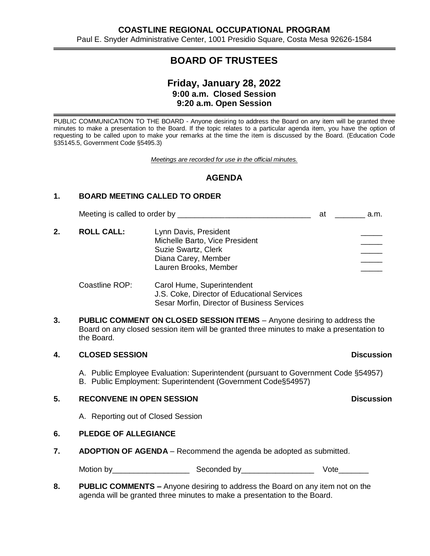# **BOARD OF TRUSTEES**

# **Friday, January 28, 2022 9:00 a.m. Closed Session 9:20 a.m. Open Session**

PUBLIC COMMUNICATION TO THE BOARD - Anyone desiring to address the Board on any item will be granted three minutes to make a presentation to the Board. If the topic relates to a particular agenda item, you have the option of requesting to be called upon to make your remarks at the time the item is discussed by the Board. (Education Code §35145.5, Government Code §5495.3)

*Meetings are recorded for use in the official minutes.*

## **AGENDA**

## **1. BOARD MEETING CALLED TO ORDER**

Meeting is called to order by \_\_\_\_\_\_\_\_\_\_\_\_\_\_\_\_\_\_\_\_\_\_\_\_\_\_\_\_\_\_\_ at \_\_\_\_\_\_\_ a.m.

2. **ROLL CALL:** Lynn Davis, President Michelle Barto, Vice President Suzie Swartz, Clerk Diana Carey, Member Lauren Brooks, Member

## Coastline ROP: Carol Hume, Superintendent J.S. Coke, Director of Educational Services Sesar Morfin, Director of Business Services

**3. PUBLIC COMMENT ON CLOSED SESSION ITEMS** – Anyone desiring to address the Board on any closed session item will be granted three minutes to make a presentation to the Board.

## **4. CLOSED SESSION Discussion**

A. Public Employee Evaluation: Superintendent (pursuant to Government Code §54957) B. Public Employment: Superintendent (Government Code§54957)

## **5. RECONVENE IN OPEN SESSION Discussion**

# A. Reporting out of Closed Session

## **6. PLEDGE OF ALLEGIANCE**

**7. ADOPTION OF AGENDA** – Recommend the agenda be adopted as submitted.

Motion by\_\_\_\_\_\_\_\_\_\_\_\_\_\_\_\_\_\_ Seconded by\_\_\_\_\_\_\_\_\_\_\_\_\_\_\_\_\_ Vote\_\_\_\_\_\_\_

**8. PUBLIC COMMENTS –** Anyone desiring to address the Board on any item not on the agenda will be granted three minutes to make a presentation to the Board.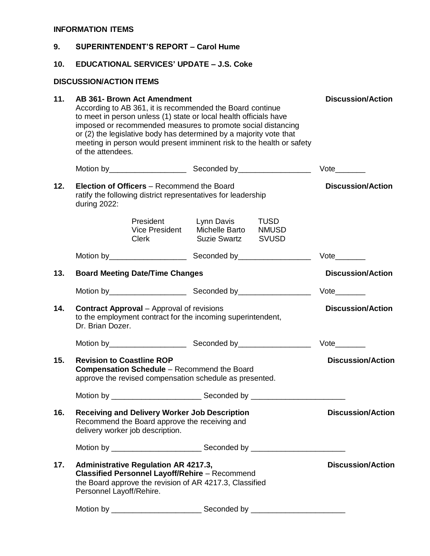## **INFORMATION ITEMS**

| 9.  | <b>SUPERINTENDENT'S REPORT - Carol Hume</b>                                                                                                                                                 |                             |                                                                                                                                                                                                                                                                                                                                                                           |                              |  |  |  |
|-----|---------------------------------------------------------------------------------------------------------------------------------------------------------------------------------------------|-----------------------------|---------------------------------------------------------------------------------------------------------------------------------------------------------------------------------------------------------------------------------------------------------------------------------------------------------------------------------------------------------------------------|------------------------------|--|--|--|
| 10. | <b>EDUCATIONAL SERVICES' UPDATE - J.S. Coke</b>                                                                                                                                             |                             |                                                                                                                                                                                                                                                                                                                                                                           |                              |  |  |  |
|     | <b>DISCUSSION/ACTION ITEMS</b>                                                                                                                                                              |                             |                                                                                                                                                                                                                                                                                                                                                                           |                              |  |  |  |
| 11. | of the attendees.                                                                                                                                                                           | AB 361- Brown Act Amendment | <b>Discussion/Action</b><br>According to AB 361, it is recommended the Board continue<br>to meet in person unless (1) state or local health officials have<br>imposed or recommended measures to promote social distancing<br>or (2) the legislative body has determined by a majority vote that<br>meeting in person would present imminent risk to the health or safety |                              |  |  |  |
|     |                                                                                                                                                                                             |                             |                                                                                                                                                                                                                                                                                                                                                                           |                              |  |  |  |
| 12. | Election of Officers - Recommend the Board<br>ratify the following district representatives for leadership<br>during 2022:                                                                  | <b>Discussion/Action</b>    |                                                                                                                                                                                                                                                                                                                                                                           |                              |  |  |  |
|     |                                                                                                                                                                                             | President<br><b>Clerk</b>   | Lynn Davis<br><b>TUSD</b><br>Vice President Michelle Barto NMUSD<br><b>Suzie Swartz</b><br><b>SVUSD</b>                                                                                                                                                                                                                                                                   |                              |  |  |  |
|     |                                                                                                                                                                                             |                             |                                                                                                                                                                                                                                                                                                                                                                           | $Vote$ <sub>__________</sub> |  |  |  |
| 13. | <b>Board Meeting Date/Time Changes</b>                                                                                                                                                      | <b>Discussion/Action</b>    |                                                                                                                                                                                                                                                                                                                                                                           |                              |  |  |  |
|     |                                                                                                                                                                                             |                             |                                                                                                                                                                                                                                                                                                                                                                           | $Vote$ <sub>_________</sub>  |  |  |  |
| 14. | <b>Contract Approval</b> – Approval of revisions<br>to the employment contract for the incoming superintendent,<br>Dr. Brian Dozer.                                                         | <b>Discussion/Action</b>    |                                                                                                                                                                                                                                                                                                                                                                           |                              |  |  |  |
|     |                                                                                                                                                                                             |                             |                                                                                                                                                                                                                                                                                                                                                                           | $Vote$ <sub>_________</sub>  |  |  |  |
| 15. | <b>Discussion/Action</b><br><b>Revision to Coastline ROP</b><br><b>Compensation Schedule</b> – Recommend the Board<br>approve the revised compensation schedule as presented.               |                             |                                                                                                                                                                                                                                                                                                                                                                           |                              |  |  |  |
|     |                                                                                                                                                                                             |                             |                                                                                                                                                                                                                                                                                                                                                                           |                              |  |  |  |
| 16. | <b>Receiving and Delivery Worker Job Description</b><br>Recommend the Board approve the receiving and<br>delivery worker job description.                                                   | <b>Discussion/Action</b>    |                                                                                                                                                                                                                                                                                                                                                                           |                              |  |  |  |
|     |                                                                                                                                                                                             |                             |                                                                                                                                                                                                                                                                                                                                                                           |                              |  |  |  |
| 17. | <b>Administrative Regulation AR 4217.3,</b><br><b>Classified Personnel Layoff/Rehire</b> - Recommend<br>the Board approve the revision of AR 4217.3, Classified<br>Personnel Layoff/Rehire. | <b>Discussion/Action</b>    |                                                                                                                                                                                                                                                                                                                                                                           |                              |  |  |  |
|     |                                                                                                                                                                                             |                             |                                                                                                                                                                                                                                                                                                                                                                           |                              |  |  |  |